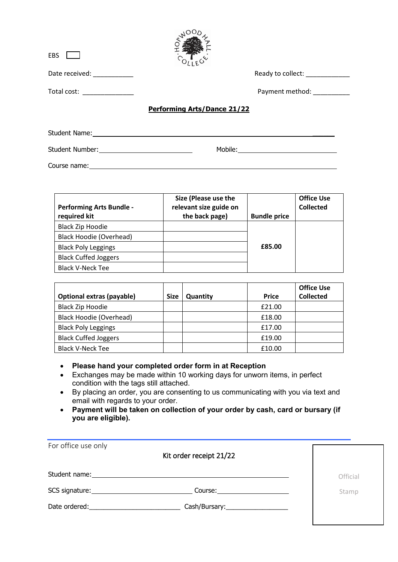| <b>EBS</b>                 |                                          |
|----------------------------|------------------------------------------|
| Date received: __________  | Ready to collect:                        |
| Total cost: ______________ | Payment method: National Payment method: |
|                            | <b>Performing Arts/Dance 21/22</b>       |
| Student Name:              |                                          |
| <b>Student Number:</b>     | Mobile:                                  |

 $V^{OOO}$ 

Course name: experience of the state of the state of the state of the state of the state of the state of the state of the state of the state of the state of the state of the state of the state of the state of the state of

| <b>Performing Arts Bundle -</b><br>required kit | Size (Please use the<br>relevant size guide on<br>the back page) | <b>Bundle price</b> | <b>Office Use</b><br><b>Collected</b> |
|-------------------------------------------------|------------------------------------------------------------------|---------------------|---------------------------------------|
| <b>Black Zip Hoodie</b>                         |                                                                  |                     |                                       |
| <b>Black Hoodie (Overhead)</b>                  |                                                                  |                     |                                       |
| <b>Black Poly Leggings</b>                      |                                                                  | £85.00              |                                       |
| <b>Black Cuffed Joggers</b>                     |                                                                  |                     |                                       |
| <b>Black V-Neck Tee</b>                         |                                                                  |                     |                                       |

|                                  |             |          |              | <b>Office Use</b> |
|----------------------------------|-------------|----------|--------------|-------------------|
| <b>Optional extras (payable)</b> | <b>Size</b> | Quantity | <b>Price</b> | <b>Collected</b>  |
| Black Zip Hoodie                 |             |          | £21.00       |                   |
| Black Hoodie (Overhead)          |             |          | £18.00       |                   |
| <b>Black Poly Leggings</b>       |             |          | £17.00       |                   |
| <b>Black Cuffed Joggers</b>      |             |          | £19.00       |                   |
| <b>Black V-Neck Tee</b>          |             |          | £10.00       |                   |

• **Please hand your completed order form in at Reception** 

- Exchanges may be made within 10 working days for unworn items, in perfect condition with the tags still attached.
- By placing an order, you are consenting to us communicating with you via text and email with regards to your order.
- **Payment will be taken on collection of your order by cash, card or bursary (if you are eligible).**

| For office use only<br>Kit order receipt 21/22                                                                                                                                                                                           |          |
|------------------------------------------------------------------------------------------------------------------------------------------------------------------------------------------------------------------------------------------|----------|
| Student name: The contract of the contract of the contract of the contract of the contract of the contract of the contract of the contract of the contract of the contract of the contract of the contract of the contract of            | Official |
| SCS signature: Note and the set of the set of the set of the set of the set of the set of the set of the set of the set of the set of the set of the set of the set of the set of the set of the set of the set of the set of<br>Course: | Stamp    |
| Date ordered: and the state of the state of the state of the state of the state of the state of the state of the state of the state of the state of the state of the state of the state of the state of the state of the state           |          |